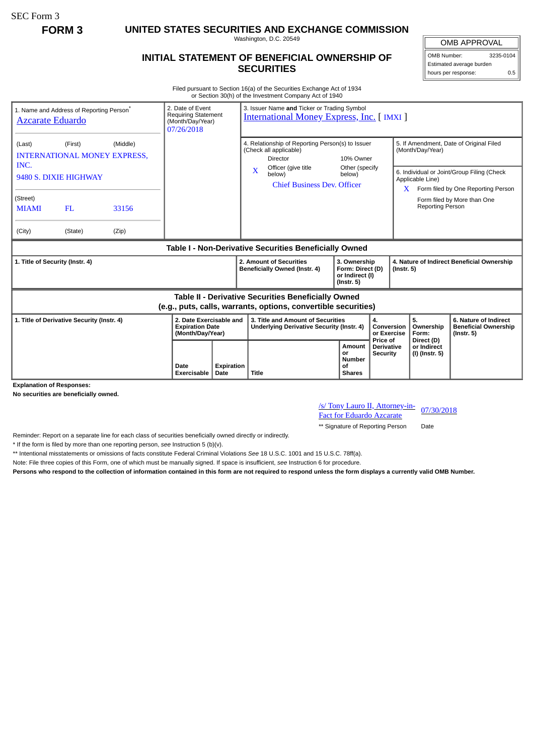SEC Form 3

**FORM 3 UNITED STATES SECURITIES AND EXCHANGE COMMISSION**

Washington, D.C. 20549

## **INITIAL STATEMENT OF BENEFICIAL OWNERSHIP OF SECURITIES**

OMB APPROVAL OMB Number: 3235-0104 Estimated average burden hours per response: 0.5

Filed pursuant to Section 16(a) of the Securities Exchange Act of 1934 or Section 30(h) of the Investment Company Act of 1940

| 1. Name and Address of Reporting Person <sup>*</sup><br><b>Azcarate Eduardo</b>                                       |         |       | 2. Date of Event<br><b>Requiring Statement</b><br>(Month/Day/Year)<br>07/26/2018 |                    | 3. Issuer Name and Ticker or Trading Symbol<br><b>International Money Express, Inc.</b> [IMXI]                                      |                                                                     |                                                             |                                                                |                                                                                                          |                                             |                                                                          |
|-----------------------------------------------------------------------------------------------------------------------|---------|-------|----------------------------------------------------------------------------------|--------------------|-------------------------------------------------------------------------------------------------------------------------------------|---------------------------------------------------------------------|-------------------------------------------------------------|----------------------------------------------------------------|----------------------------------------------------------------------------------------------------------|---------------------------------------------|--------------------------------------------------------------------------|
| (Middle)<br>(Last)<br>(First)<br><b>INTERNATIONAL MONEY EXPRESS.</b><br>INC.                                          |         |       |                                                                                  |                    | 4. Relationship of Reporting Person(s) to Issuer<br>(Check all applicable)<br>Director                                              |                                                                     | 10% Owner<br>Other (specify                                 |                                                                | 5. If Amendment, Date of Original Filed<br>(Month/Day/Year)                                              |                                             |                                                                          |
| 9480 S. DIXIE HIGHWAY                                                                                                 |         |       |                                                                                  |                    | X                                                                                                                                   | Officer (give title<br>below)<br><b>Chief Business Dev. Officer</b> | below)                                                      |                                                                | 6. Individual or Joint/Group Filing (Check<br>Applicable Line)<br>$X$ Form filed by One Reporting Person |                                             |                                                                          |
| (Street)<br><b>MIAMI</b>                                                                                              | FL      | 33156 |                                                                                  |                    |                                                                                                                                     |                                                                     |                                                             |                                                                |                                                                                                          | Reporting Person                            | Form filed by More than One                                              |
| (City)                                                                                                                | (State) | (Zip) |                                                                                  |                    |                                                                                                                                     |                                                                     |                                                             |                                                                |                                                                                                          |                                             |                                                                          |
| Table I - Non-Derivative Securities Beneficially Owned                                                                |         |       |                                                                                  |                    |                                                                                                                                     |                                                                     |                                                             |                                                                |                                                                                                          |                                             |                                                                          |
| 1. Title of Security (Instr. 4)                                                                                       |         |       |                                                                                  |                    | 2. Amount of Securities<br>3. Ownership<br>Beneficially Owned (Instr. 4)<br>Form: Direct (D)<br>or Indirect (I)<br>$($ lnstr. 5 $)$ |                                                                     |                                                             | 4. Nature of Indirect Beneficial Ownership<br>$($ lnstr. 5 $)$ |                                                                                                          |                                             |                                                                          |
| Table II - Derivative Securities Beneficially Owned<br>(e.g., puts, calls, warrants, options, convertible securities) |         |       |                                                                                  |                    |                                                                                                                                     |                                                                     |                                                             |                                                                |                                                                                                          |                                             |                                                                          |
| 1. Title of Derivative Security (Instr. 4)                                                                            |         |       | 2. Date Exercisable and<br><b>Expiration Date</b><br>(Month/Day/Year)            |                    | 3. Title and Amount of Securities<br><b>Underlying Derivative Security (Instr. 4)</b>                                               |                                                                     |                                                             | 4.<br>Conversion<br>or Exercise                                |                                                                                                          | 5.<br>Ownership<br>Form:                    | 6. Nature of Indirect<br><b>Beneficial Ownership</b><br>$($ Instr. 5 $)$ |
|                                                                                                                       |         |       | Date<br>Exercisable                                                              | Expiration<br>Date | Title                                                                                                                               |                                                                     | <b>Amount</b><br>or<br><b>Number</b><br>Οf<br><b>Shares</b> | Price of<br><b>Derivative</b><br><b>Security</b>               |                                                                                                          | Direct (D)<br>or Indirect<br>(I) (Instr. 5) |                                                                          |

**Explanation of Responses:**

**No securities are beneficially owned.**

/s/ Tony Lauro II, Attorney-in-**Fact for Eduardo Azcarate** 07/30/2018

\*\* Signature of Reporting Person Date

Reminder: Report on a separate line for each class of securities beneficially owned directly or indirectly.

\* If the form is filed by more than one reporting person, *see* Instruction 5 (b)(v).

\*\* Intentional misstatements or omissions of facts constitute Federal Criminal Violations *See* 18 U.S.C. 1001 and 15 U.S.C. 78ff(a).

Note: File three copies of this Form, one of which must be manually signed. If space is insufficient, *see* Instruction 6 for procedure.

**Persons who respond to the collection of information contained in this form are not required to respond unless the form displays a currently valid OMB Number.**